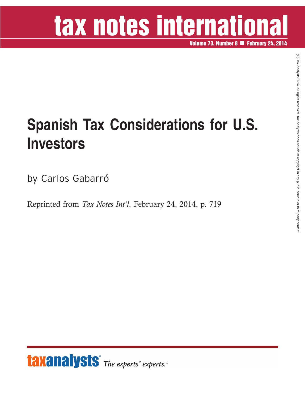# tax notes international

**Volume 73, Number 8 February 24, 2014**

### **Spanish Tax Considerations for U.S. Investors**

by Carlos Gabarró

Reprinted from *Tax Notes Int'l*, February 24, 2014, p. 719

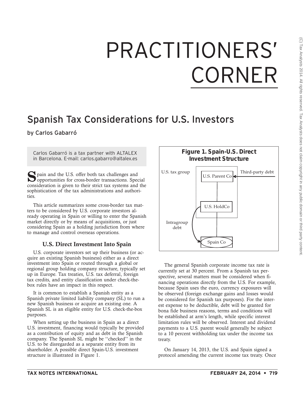## PRACTITIONERS' CORNER

### Spanish Tax Considerations for U.S. Investors

#### by Carlos Gabarró

Carlos Gabarró is a tax partner with ALTALEX in Barcelona. E-mail: carlos.gabarro@altalex.es

 $\sum$  pain and the U.S. offer both tax challenges and opportunities for cross-border transactions. Special consideration is given to their strict tax systems and the sophistication of the tax administrations and authorities.

This article summarizes some cross-border tax matters to be considered by U.S. corporate investors already operating in Spain or willing to enter the Spanish market directly or by means of acquisitions, or just considering Spain as a holding jurisdiction from where to manage and control overseas operations.

#### **U.S. Direct Investment Into Spain**

U.S. corporate investors set up their business (or acquire an existing Spanish business) either as a direct investment into Spain or routed through a global or regional group holding company structure, typically set up in Europe. Tax treaties, U.S. tax deferral, foreign tax credits, and entity classification under check-thebox rules have an impact in this respect.

It is common to establish a Spanish entity as a Spanish private limited liability company (SL) to run a new Spanish business or acquire an existing one. A Spanish SL is an eligible entity for U.S. check-the-box purposes.

When setting up the business in Spain as a direct U.S. investment, financing would typically be provided as a contribution of equity and as debt in the Spanish company. The Spanish SL might be ''checked'' in the U.S. to be disregarded as a separate entity from its shareholder. A possible direct Spain-U.S. investment structure is illustrated in Figure 1.



The general Spanish corporate income tax rate is currently set at 30 percent. From a Spanish tax perspective, several matters must be considered when financing operations directly from the U.S. For example, because Spain uses the euro, currency exposures will be observed (foreign exchange gains and losses would be considered for Spanish tax purposes). For the interest expense to be deductible, debt will be granted for bona fide business reasons, terms and conditions will be established at arm's length, while specific interest limitation rules will be observed. Interest and dividend payments to a U.S. parent would generally be subject to a 10 percent withholding tax under the income tax treaty.

On January 14, 2013, the U.S. and Spain signed a protocol amending the current income tax treaty. Once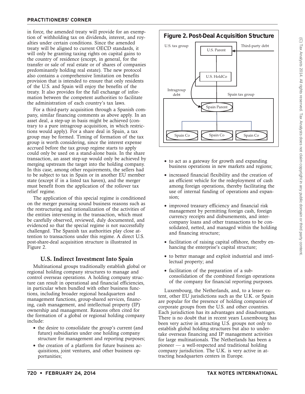in force, the amended treaty will provide for an exemption of withholding tax on dividends, interest, and royalties under certain conditions. Since the amended treaty will be aligned to current OECD standards, it will only be granting taxing rights on capital gains to the country of residence (except, in general, for the transfer or sale of real estate or of shares of companies predominantly holding real estate). The new protocol also contains a comprehensive limitation on benefits provision that is intended to ensure that only residents of the U.S. and Spain will enjoy the benefits of the treaty. It also provides for the full exchange of information between the competent authorities to facilitate the administration of each country's tax laws.

For a third-party acquisition through a Spanish company, similar financing comments as above apply. In an asset deal, a step-up in basis might be achieved (contrary to a pure intragroup acquisition, in which restrictions would apply). For a share deal in Spain, a tax group may be formed. Timing of formation of the tax group is worth considering, since the interest expense accrued before the tax group regime starts to apply could only be used on a stand-alone basis. In the share transaction, an asset step-up would only be achieved by merging upstream the target into the holding company. In this case, among other requirements, the sellers had to be subject to tax in Spain or in another EU member state (except if in a listed tax haven), and the merger must benefit from the application of the rollover tax relief regime.

The application of this special regime is conditioned on the merger pursuing sound business reasons such as the restructuring and rationalization of the activities of the entities intervening in the transaction, which must be carefully observed, reviewed, duly documented, and evidenced so that the special regime is not successfully challenged. The Spanish tax authorities play close attention to transactions under this regime. A direct U.S. post-share-deal acquisition structure is illustrated in Figure 2.

#### **U.S. Indirect Investment Into Spain**

Multinational groups traditionally establish global or regional holding company structures to manage and control overseas operations. A holding company structure can result in operational and financial efficiencies, in particular when bundled with other business functions, including broader regional headquarters and management functions, group-shared services, financing, cash management, and intellectual property (IP) ownership and management. Reasons often cited for the formation of a global or regional holding company include:

- the desire to consolidate the group's current (and future) subsidiaries under one holding company structure for management and reporting purposes;
- the creation of a platform for future business acquisitions, joint ventures, and other business opportunities;



- to act as a gateway for growth and expanding business operations in new markets and regions;
- increased financial flexibility and the creation of an efficient vehicle for the redeployment of cash among foreign operations, thereby facilitating the use of internal funding of operations and expansion;
- improved treasury efficiency and financial risk management by permitting foreign cash, foreign currency receipts and disbursements, and intercompany loans and other transactions to be consolidated, netted, and managed within the holding and financing structure;
- facilitation of raising capital offshore, thereby enhancing the enterprise's capital structure;
- to better manage and exploit industrial and intellectual property; and
- facilitation of the preparation of a subconsolidation of the combined foreign operations of the company for financial reporting purposes.

Luxembourg, the Netherlands, and, to a lesser extent, other EU jurisdictions such as the U.K. or Spain are popular for the presence of holding companies of corporate groups from the U.S. and other countries. Each jurisdiction has its advantages and disadvantages. There is no doubt that in recent years Luxembourg has been very active in attracting U.S. groups not only to establish global holding structures but also to undertake overseas financing and IP management activities for large multinationals. The Netherlands has been a pioneer — a well-respected and traditional holding company jurisdiction. The U.K. is very active in attracting headquarters centers in Europe.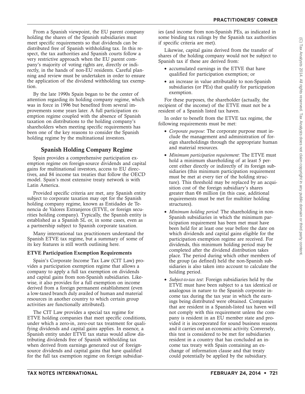From a Spanish viewpoint, the EU parent company holding the shares of the Spanish subsidiaries must meet specific requirements so that dividends can be distributed free of Spanish withholding tax. In this respect, the tax authorities and Spanish courts follow a very restrictive approach when the EU parent company's majority of voting rights are, directly or indirectly, in the hands of non-EU residents. Careful planning and review must be undertaken in order to ensure the application of the dividend withholding tax exemption.

By the late 1990s Spain began to be the center of attention regarding its holding company regime, which was in force in 1996 but benefited from several improvements some years later. A full participation exemption regime coupled with the absence of Spanish taxation on distributions to the holding company's shareholders when meeting specific requirements has been one of the key reasons to consider the Spanish holding regime by the multinational investors.

#### **Spanish Holding Company Regime**

Spain provides a comprehensive participation exemption regime on foreign-source dividends and capital gains for multinational investors, access to EU directives, and 84 income tax treaties that follow the OECD model. Spain's most extensive treaty network is with Latin America.

Provided specific criteria are met, any Spanish entity subject to corporate taxation may opt for the Spanish holding company regime, known as Entidades de Tenencia de Valores Extranjeros (ETVE, or foreign securities holding company). Typically, the Spanish entity is established as a Spanish SL or, in some cases, even as a partnership subject to Spanish corporate taxation.

Many international tax practitioners understand the Spanish ETVE tax regime, but a summary of some of its key features is still worth outlining here.

#### **ETVE Participation Exemption Requirements**

Spain's Corporate Income Tax Law (CIT Law) provides a participation exemption regime that allows a company to apply a full tax exemption on dividends and capital gains from non-Spanish subsidiaries. Likewise, it also provides for a full exemption on income derived from a foreign permanent establishment (even a low-taxed branch duly availed of human and material resources in another country to which certain group activities are functionally attributed).

The CIT Law provides a special tax regime for ETVE holding companies that meet specific conditions, under which a zero-in, zero-out tax treatment for qualifying dividends and capital gains applies. In essence, a Spanish entity under ETVE tax status would allow distributing dividends free of Spanish withholding tax when derived from earnings generated out of foreignsource dividends and capital gains that have qualified for the full tax exemption regime on foreign subsidiaries (and income from non-Spanish PEs, as indicated in some binding tax rulings by the Spanish tax authorities if specific criteria are met).

Likewise, capital gains derived from the transfer of shares of the holding company would not be subject to Spanish tax if these are derived from:

- accumulated earnings in the ETVE that have qualified for participation exemption; or
- an increase in value attributable to non-Spanish subsidiaries (or PEs) that qualify for participation exemption.

For these purposes, the shareholder (actually, the recipient of the income) of the ETVE must not be a resident of a Spanish listed tax haven.

In order to benefit from the ETVE tax regime, the following requirements must be met:

- *Corporate purpose*: The corporate purpose must include the management and administration of foreign shareholdings through the appropriate human and material resources.
- *Minimum participation requirement*: The ETVE must hold a minimum shareholding of at least 5 percent either directly or indirectly of its foreign subsidiaries (this minimum participation requirement must be met at every tier of the holding structure). This threshold may be replaced by an acquisition cost of the foreign subsidiary's shares greater than  $\epsilon$ 6 million (in this case, additional requirements must be met for multitier holding structures).
- *Minimum holding period*: The shareholding in non-Spanish subsidiaries in which the minimum participation requirement has been met must have been held for at least one year before the date on which dividends and capital gains eligible for the participation exemption regime are received. For dividends, this minimum holding period may be completed after the dividend distribution takes place. The period during which other members of the group (as defined) held the non-Spanish subsidiaries is also taken into account to calculate the holding period.
- *Subject-to-tax test*: Foreign subsidiaries held by the ETVE must have been subject to a tax identical or analogous in nature to the Spanish corporate income tax during the tax year in which the earnings being distributed were obtained. Companies that are resident in a Spanish-listed tax haven will not comply with this requirement unless the company is resident in an EU member state and provided it is incorporated for sound business reasons and it carries out an economic activity. Conversely, this test is considered to be met for subsidiaries resident in a country that has concluded an income tax treaty with Spain containing an exchange of information clause and that treaty could potentially be applied by the subsidiary.